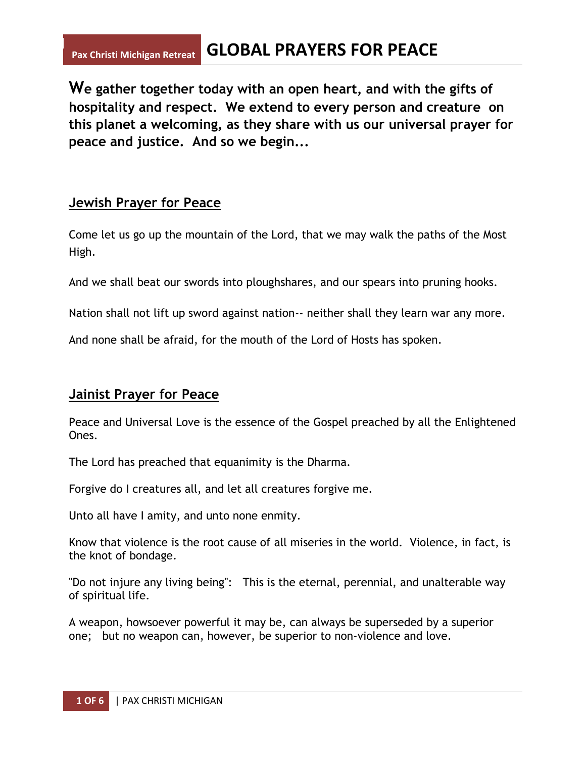# **Pax Christi Michigan Retreat GLOBAL PRAYERS FOR PEACE**

**We gather together today with an open heart, and with the gifts of hospitality and respect. We extend to every person and creature on this planet a welcoming, as they share with us our universal prayer for peace and justice. And so we begin...**

#### **Jewish Prayer for Peace**

Come let us go up the mountain of the Lord, that we may walk the paths of the Most High.

And we shall beat our swords into ploughshares, and our spears into pruning hooks.

Nation shall not lift up sword against nation-- neither shall they learn war any more.

And none shall be afraid, for the mouth of the Lord of Hosts has spoken.

## **Jainist Prayer for Peace**

Peace and Universal Love is the essence of the Gospel preached by all the Enlightened Ones.

The Lord has preached that equanimity is the Dharma.

Forgive do I creatures all, and let all creatures forgive me.

Unto all have I amity, and unto none enmity.

Know that violence is the root cause of all miseries in the world. Violence, in fact, is the knot of bondage.

"Do not injure any living being": This is the eternal, perennial, and unalterable way of spiritual life.

A weapon, howsoever powerful it may be, can always be superseded by a superior one; but no weapon can, however, be superior to non-violence and love.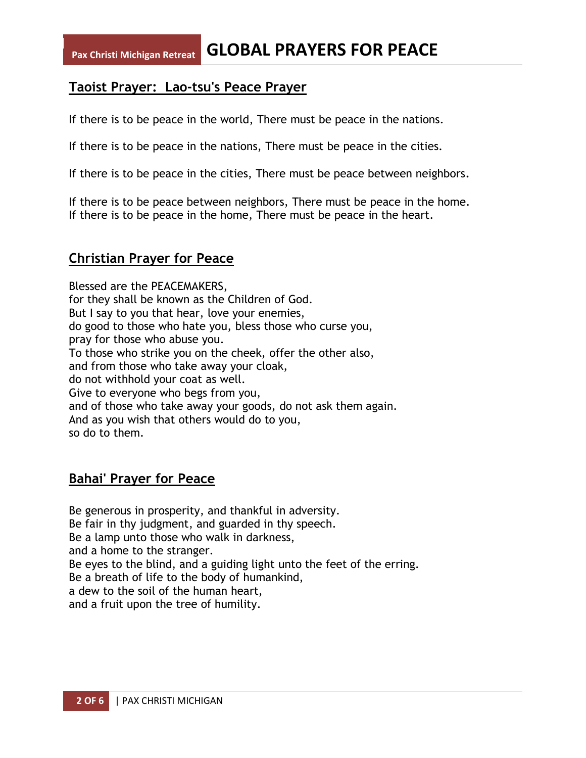## **Taoist Prayer: Lao-tsu's Peace Prayer**

If there is to be peace in the world, There must be peace in the nations.

If there is to be peace in the nations, There must be peace in the cities.

If there is to be peace in the cities, There must be peace between neighbors.

If there is to be peace between neighbors, There must be peace in the home. If there is to be peace in the home, There must be peace in the heart.

## **Christian Prayer for Peace**

Blessed are the PEACEMAKERS, for they shall be known as the Children of God. But I say to you that hear, love your enemies, do good to those who hate you, bless those who curse you, pray for those who abuse you. To those who strike you on the cheek, offer the other also, and from those who take away your cloak, do not withhold your coat as well. Give to everyone who begs from you, and of those who take away your goods, do not ask them again. And as you wish that others would do to you, so do to them.

## **Bahai' Prayer for Peace**

Be generous in prosperity, and thankful in adversity. Be fair in thy judgment, and guarded in thy speech. Be a lamp unto those who walk in darkness, and a home to the stranger. Be eyes to the blind, and a guiding light unto the feet of the erring. Be a breath of life to the body of humankind, a dew to the soil of the human heart, and a fruit upon the tree of humility.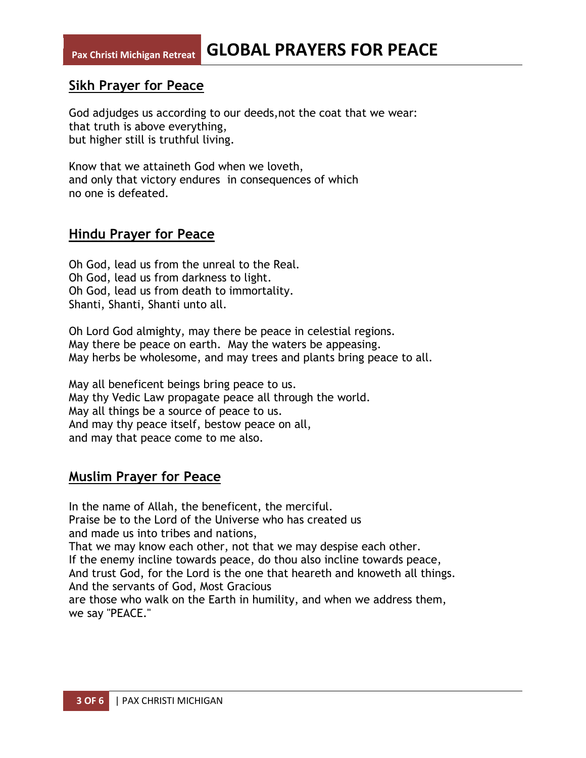#### **Sikh Prayer for Peace**

God adjudges us according to our deeds,not the coat that we wear: that truth is above everything, but higher still is truthful living.

Know that we attaineth God when we loveth, and only that victory endures in consequences of which no one is defeated.

#### **Hindu Prayer for Peace**

Oh God, lead us from the unreal to the Real. Oh God, lead us from darkness to light. Oh God, lead us from death to immortality. Shanti, Shanti, Shanti unto all.

Oh Lord God almighty, may there be peace in celestial regions. May there be peace on earth. May the waters be appeasing. May herbs be wholesome, and may trees and plants bring peace to all.

May all beneficent beings bring peace to us. May thy Vedic Law propagate peace all through the world. May all things be a source of peace to us. And may thy peace itself, bestow peace on all, and may that peace come to me also.

## **Muslim Prayer for Peace**

In the name of Allah, the beneficent, the merciful. Praise be to the Lord of the Universe who has created us and made us into tribes and nations, That we may know each other, not that we may despise each other. If the enemy incline towards peace, do thou also incline towards peace, And trust God, for the Lord is the one that heareth and knoweth all things. And the servants of God, Most Gracious are those who walk on the Earth in humility, and when we address them, we say "PEACE."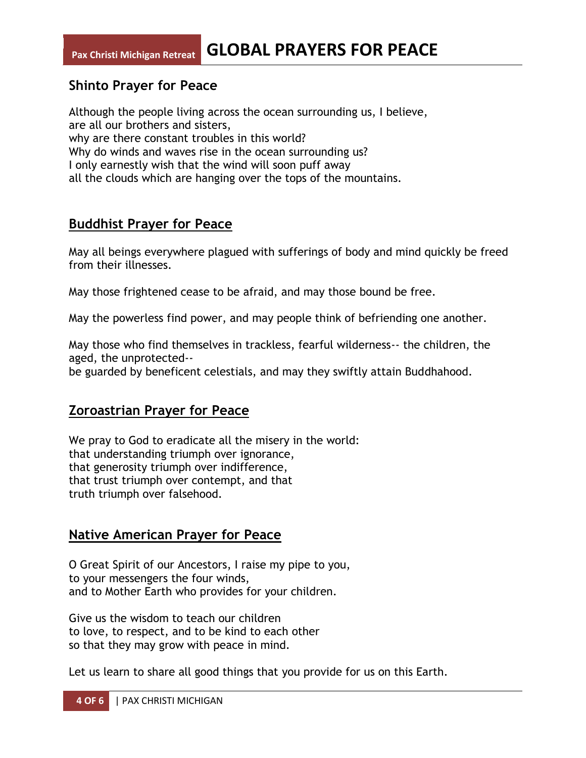# **Shinto Prayer for Peace**

Although the people living across the ocean surrounding us, I believe, are all our brothers and sisters, why are there constant troubles in this world? Why do winds and waves rise in the ocean surrounding us? I only earnestly wish that the wind will soon puff away all the clouds which are hanging over the tops of the mountains.

#### **Buddhist Prayer for Peace**

May all beings everywhere plagued with sufferings of body and mind quickly be freed from their illnesses.

May those frightened cease to be afraid, and may those bound be free.

May the powerless find power, and may people think of befriending one another.

May those who find themselves in trackless, fearful wilderness-- the children, the aged, the unprotected--

be guarded by beneficent celestials, and may they swiftly attain Buddhahood.

## **Zoroastrian Prayer for Peace**

We pray to God to eradicate all the misery in the world: that understanding triumph over ignorance, that generosity triumph over indifference, that trust triumph over contempt, and that truth triumph over falsehood.

## **Native American Prayer for Peace**

O Great Spirit of our Ancestors, I raise my pipe to you, to your messengers the four winds, and to Mother Earth who provides for your children.

Give us the wisdom to teach our children to love, to respect, and to be kind to each other so that they may grow with peace in mind.

Let us learn to share all good things that you provide for us on this Earth.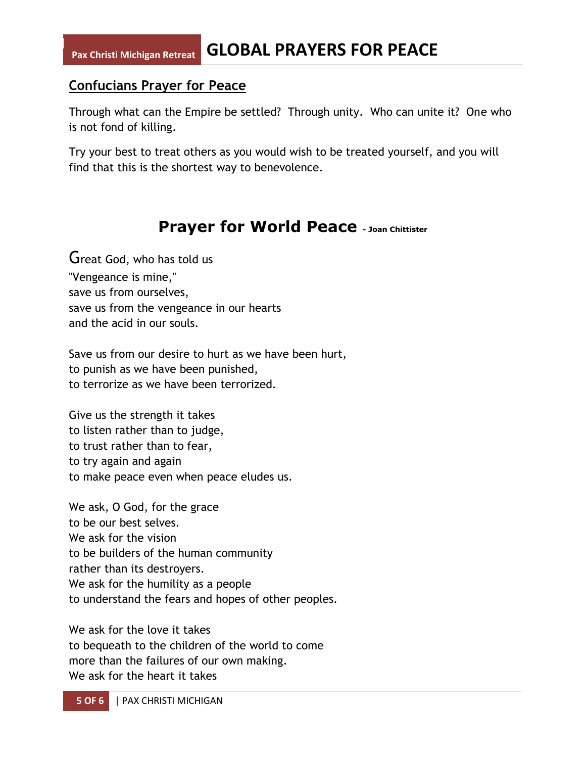## **Confucians Prayer for Peace**

Through what can the Empire be settled? Through unity. Who can unite it? One who is not fond of killing.

Try your best to treat others as you would wish to be treated yourself, and you will find that this is the shortest way to benevolence.

# **Prayer for World Peace - Joan Chittister**

Great God, who has told us "Vengeance is mine," save us from ourselves, save us from the vengeance in our hearts and the acid in our souls.

Save us from our desire to hurt as we have been hurt, to punish as we have been punished, to terrorize as we have been terrorized.

Give us the strength it takes to listen rather than to judge, to trust rather than to fear, to try again and again to make peace even when peace eludes us.

We ask, O God, for the grace to be our best selves. We ask for the vision to be builders of the human community rather than its destroyers. We ask for the humility as a people to understand the fears and hopes of other peoples.

We ask for the love it takes to bequeath to the children of the world to come more than the failures of our own making. We ask for the heart it takes